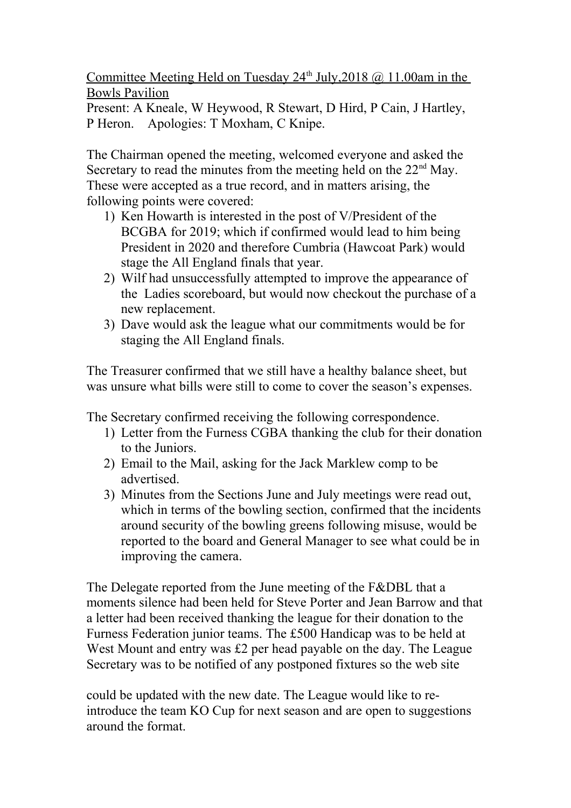Committee Meeting Held on Tuesday  $24<sup>th</sup>$  July,  $2018$  @ 11.00am in the Bowls Pavilion

Present: A Kneale, W Heywood, R Stewart, D Hird, P Cain, J Hartley, P Heron. Apologies: T Moxham, C Knipe.

The Chairman opened the meeting, welcomed everyone and asked the Secretary to read the minutes from the meeting held on the  $22<sup>nd</sup>$  May. These were accepted as a true record, and in matters arising, the following points were covered:

- 1) Ken Howarth is interested in the post of V/President of the BCGBA for 2019; which if confirmed would lead to him being President in 2020 and therefore Cumbria (Hawcoat Park) would stage the All England finals that year.
- 2) Wilf had unsuccessfully attempted to improve the appearance of the Ladies scoreboard, but would now checkout the purchase of a new replacement.
- 3) Dave would ask the league what our commitments would be for staging the All England finals.

The Treasurer confirmed that we still have a healthy balance sheet, but was unsure what bills were still to come to cover the season's expenses.

The Secretary confirmed receiving the following correspondence.

- 1) Letter from the Furness CGBA thanking the club for their donation to the Juniors.
- 2) Email to the Mail, asking for the Jack Marklew comp to be advertised.
- 3) Minutes from the Sections June and July meetings were read out, which in terms of the bowling section, confirmed that the incidents around security of the bowling greens following misuse, would be reported to the board and General Manager to see what could be in improving the camera.

The Delegate reported from the June meeting of the F&DBL that a moments silence had been held for Steve Porter and Jean Barrow and that a letter had been received thanking the league for their donation to the Furness Federation junior teams. The £500 Handicap was to be held at West Mount and entry was £2 per head payable on the day. The League Secretary was to be notified of any postponed fixtures so the web site

could be updated with the new date. The League would like to reintroduce the team KO Cup for next season and are open to suggestions around the format.